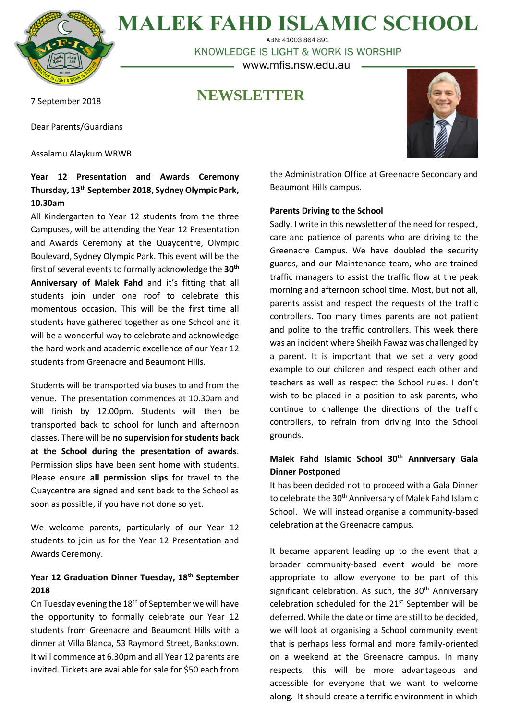

**MALEK FAHD ISLAMIC SCHOOL** ABN: 41003 864 891

KNOWLEDGE IS LIGHT & WORK IS WORSHIP – www.mfis.nsw.edu.au –

### **NEWSLETTER**

7 September 2018

Dear Parents/Guardians

Assalamu Alaykum WRWB

#### **Year 12 Presentation and Awards Ceremony Thursday, 13th September 2018, Sydney Olympic Park, 10.30am**

All Kindergarten to Year 12 students from the three Campuses, will be attending the Year 12 Presentation and Awards Ceremony at the Quaycentre, Olympic Boulevard, Sydney Olympic Park. This event will be the first of several events to formally acknowledge the **30th Anniversary of Malek Fahd** and it's fitting that all students join under one roof to celebrate this momentous occasion. This will be the first time all students have gathered together as one School and it will be a wonderful way to celebrate and acknowledge the hard work and academic excellence of our Year 12 students from Greenacre and Beaumont Hills.

Students will be transported via buses to and from the venue. The presentation commences at 10.30am and will finish by 12.00pm. Students will then be transported back to school for lunch and afternoon classes. There will be **no supervision for students back at the School during the presentation of awards**. Permission slips have been sent home with students. Please ensure **all permission slips** for travel to the Quaycentre are signed and sent back to the School as soon as possible, if you have not done so yet.

We welcome parents, particularly of our Year 12 students to join us for the Year 12 Presentation and Awards Ceremony.

#### **Year 12 Graduation Dinner Tuesday, 18th September 2018**

On Tuesday evening the 18<sup>th</sup> of September we will have the opportunity to formally celebrate our Year 12 students from Greenacre and Beaumont Hills with a dinner at Villa Blanca, 53 Raymond Street, Bankstown. It will commence at 6.30pm and all Year 12 parents are invited. Tickets are available for sale for \$50 each from



the Administration Office at Greenacre Secondary and Beaumont Hills campus.

#### **Parents Driving to the School**

Sadly, I write in this newsletter of the need for respect, care and patience of parents who are driving to the Greenacre Campus. We have doubled the security guards, and our Maintenance team, who are trained traffic managers to assist the traffic flow at the peak morning and afternoon school time. Most, but not all, parents assist and respect the requests of the traffic controllers. Too many times parents are not patient and polite to the traffic controllers. This week there was an incident where Sheikh Fawaz was challenged by a parent. It is important that we set a very good example to our children and respect each other and teachers as well as respect the School rules. I don't wish to be placed in a position to ask parents, who continue to challenge the directions of the traffic controllers, to refrain from driving into the School grounds.

#### **Malek Fahd Islamic School 30th Anniversary Gala Dinner Postponed**

It has been decided not to proceed with a Gala Dinner to celebrate the 30<sup>th</sup> Anniversary of Malek Fahd Islamic School. We will instead organise a community-based celebration at the Greenacre campus.

It became apparent leading up to the event that a broader community-based event would be more appropriate to allow everyone to be part of this significant celebration. As such, the  $30<sup>th</sup>$  Anniversary celebration scheduled for the 21<sup>st</sup> September will be deferred. While the date or time are still to be decided, we will look at organising a School community event that is perhaps less formal and more family-oriented on a weekend at the Greenacre campus. In many respects, this will be more advantageous and accessible for everyone that we want to welcome along. It should create a terrific environment in which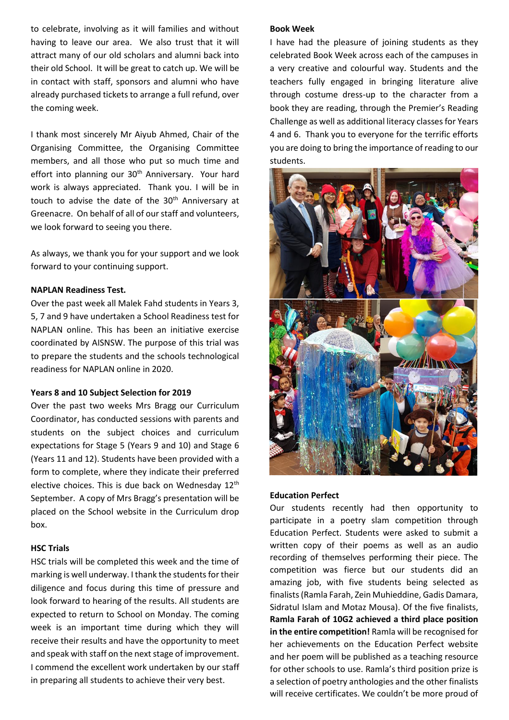to celebrate, involving as it will families and without having to leave our area. We also trust that it will attract many of our old scholars and alumni back into their old School. It will be great to catch up. We will be in contact with staff, sponsors and alumni who have already purchased tickets to arrange a full refund, over the coming week.

I thank most sincerely Mr Aiyub Ahmed, Chair of the Organising Committee, the Organising Committee members, and all those who put so much time and effort into planning our 30<sup>th</sup> Anniversary. Your hard work is always appreciated. Thank you. I will be in touch to advise the date of the 30<sup>th</sup> Anniversary at Greenacre. On behalf of all of our staff and volunteers, we look forward to seeing you there.

As always, we thank you for your support and we look forward to your continuing support.

#### **NAPLAN Readiness Test.**

Over the past week all Malek Fahd students in Years 3, 5, 7 and 9 have undertaken a School Readiness test for NAPLAN online. This has been an initiative exercise coordinated by AISNSW. The purpose of this trial was to prepare the students and the schools technological readiness for NAPLAN online in 2020.

#### **Years 8 and 10 Subject Selection for 2019**

Over the past two weeks Mrs Bragg our Curriculum Coordinator, has conducted sessions with parents and students on the subject choices and curriculum expectations for Stage 5 (Years 9 and 10) and Stage 6 (Years 11 and 12). Students have been provided with a form to complete, where they indicate their preferred elective choices. This is due back on Wednesday 12<sup>th</sup> September. A copy of Mrs Bragg's presentation will be placed on the School website in the Curriculum drop box.

#### **HSC Trials**

HSC trials will be completed this week and the time of marking is well underway. I thank the students for their diligence and focus during this time of pressure and look forward to hearing of the results. All students are expected to return to School on Monday. The coming week is an important time during which they will receive their results and have the opportunity to meet and speak with staff on the next stage of improvement. I commend the excellent work undertaken by our staff in preparing all students to achieve their very best.

#### **Book Week**

I have had the pleasure of joining students as they celebrated Book Week across each of the campuses in a very creative and colourful way. Students and the teachers fully engaged in bringing literature alive through costume dress-up to the character from a book they are reading, through the Premier's Reading Challenge as well as additional literacy classes for Years 4 and 6. Thank you to everyone for the terrific efforts you are doing to bring the importance of reading to our students.



#### **Education Perfect**

Our students recently had then opportunity to participate in a poetry slam competition through Education Perfect. Students were asked to submit a written copy of their poems as well as an audio recording of themselves performing their piece. The competition was fierce but our students did an amazing job, with five students being selected as finalists (Ramla Farah, Zein Muhieddine, Gadis Damara, Sidratul Islam and Motaz Mousa). Of the five finalists, **Ramla Farah of 10G2 achieved a third place position in the entire competition!** Ramla will be recognised for her achievements on the Education Perfect website and her poem will be published as a teaching resource for other schools to use. Ramla's third position prize is a selection of poetry anthologies and the other finalists will receive certificates. We couldn't be more proud of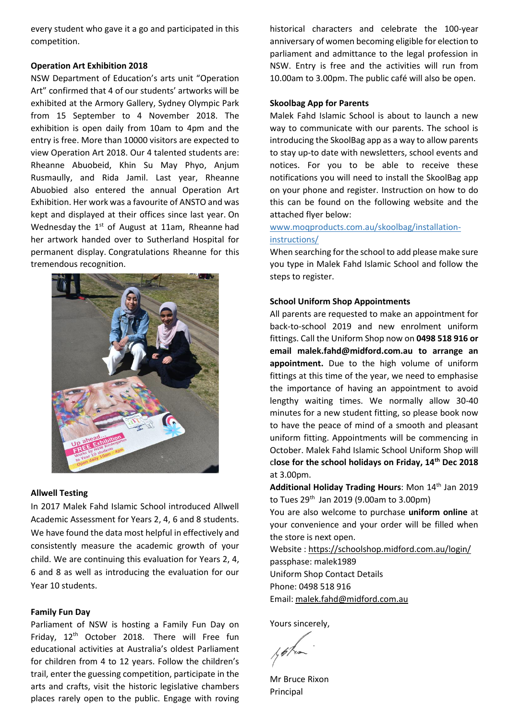every student who gave it a go and participated in this competition.

#### **Operation Art Exhibition 2018**

NSW Department of Education's arts unit "Operation Art" confirmed that 4 of our students' artworks will be exhibited at the Armory Gallery, Sydney Olympic Park from 15 September to 4 November 2018. The exhibition is open daily from 10am to 4pm and the entry is free. More than 10000 visitors are expected to view Operation Art 2018. Our 4 talented students are: Rheanne Abuobeid, Khin Su May Phyo, Anjum Rusmaully, and Rida Jamil. Last year, Rheanne Abuobied also entered the annual Operation Art Exhibition. Her work was a favourite of ANSTO and was kept and displayed at their offices since last year. On Wednesday the  $1<sup>st</sup>$  of August at 11am, Rheanne had her artwork handed over to Sutherland Hospital for permanent display. Congratulations Rheanne for this tremendous recognition.



#### **Allwell Testing**

In 2017 Malek Fahd Islamic School introduced Allwell Academic Assessment for Years 2, 4, 6 and 8 students. We have found the data most helpful in effectively and consistently measure the academic growth of your child. We are continuing this evaluation for Years 2, 4, 6 and 8 as well as introducing the evaluation for our Year 10 students.

#### **Family Fun Day**

Parliament of NSW is hosting a Family Fun Day on Friday, 12th October 2018. There will Free fun educational activities at Australia's oldest Parliament for children from 4 to 12 years. Follow the children's trail, enter the guessing competition, participate in the arts and crafts, visit the historic legislative chambers places rarely open to the public. Engage with roving historical characters and celebrate the 100-year anniversary of women becoming eligible for election to parliament and admittance to the legal profession in NSW. Entry is free and the activities will run from 10.00am to 3.00pm. The public café will also be open.

#### **Skoolbag App for Parents**

Malek Fahd Islamic School is about to launch a new way to communicate with our parents. The school is introducing the SkoolBag app as a way to allow parents to stay up-to date with newsletters, school events and notices. For you to be able to receive these notifications you will need to install the SkoolBag app on your phone and register. Instruction on how to do this can be found on the following website and the attached flyer below:

#### [www.moqproducts.com.au/skoolbag/installation](http://www.moqproducts.com.au/skoolbag/installation-instructions/)[instructions/](http://www.moqproducts.com.au/skoolbag/installation-instructions/)

When searching for the school to add please make sure you type in Malek Fahd Islamic School and follow the steps to register.

#### **School Uniform Shop Appointments**

All parents are requested to make an appointment for back-to-school 2019 and new enrolment uniform fittings. Call the Uniform Shop now on **0498 518 916 or email [malek.fahd@midford.com.au](mailto:malek.fahd@midford.com.au) to arrange an appointment.** Due to the high volume of uniform fittings at this time of the year, we need to emphasise the importance of having an appointment to avoid lengthy waiting times. We normally allow 30-40 minutes for a new student fitting, so please book now to have the peace of mind of a smooth and pleasant uniform fitting. Appointments will be commencing in October. Malek Fahd Islamic School Uniform Shop will c**lose for the school holidays on Friday, 14th Dec 2018** at 3.00pm.

**Additional Holiday Trading Hours**: Mon 14th Jan 2019 to Tues  $29^{th}$  Jan 2019 (9.00am to 3.00pm)

You are also welcome to purchase **uniform online** at your convenience and your order will be filled when the store is next open.

Website [: https://schoolshop.midford.com.au/login/](https://schoolshop.midford.com.au/login/) passphase: malek1989 Uniform Shop Contact Details Phone: 0498 518 916 Email[: malek.fahd@midford.com.au](mailto:malek.fahd@midford.com.au)

Yours sincerely,

Mr Bruce Rixon Principal